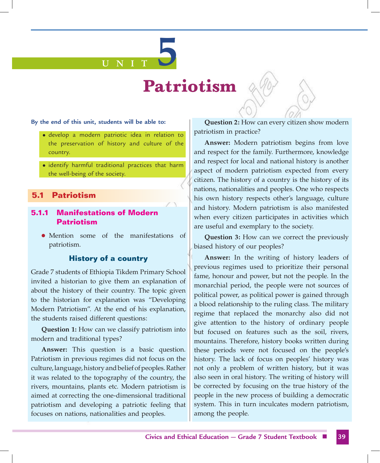#### **By the end of this unit, students will be able to:**

 $\bullet$  develop a modern patriotic idea in relation to the preservation of history and culture of the country.

**U N I T 5**

• identify harmful traditional practices that harm the well-being of the society.

### **5.1 Patriotism**

## **5.1.1 Manifestations of Modern Patriotism**

**I** Mention some of the manifestations of patriotism.

### **History of a country**

Grade 7 students of Ethiopia Tikdem Primary School invited a historian to give them an explanation of about the history of their country. The topic given to the historian for explanation was "Developing Modern Patriotism". At the end of his explanation, the students raised different questions:

**Question 1:** How can we classify patriotism into modern and traditional types?

**Answer:** This question is a basic question. Patriotism in previous regimes did not focus on the culture, language, history and belief of peoples. Rather it was related to the topography of the country, the rivers, mountains, plants etc. Modern patriotism is aimed at correcting the one-dimensional traditional patriotism and developing a patriotic feeling that focuses on nations, nationalities and peoples.

**Question 2:** How can every citizen show modern patriotism in practice?

**Answer:** Modern patriotism begins from love and respect for the family. Furthermore, knowledge and respect for local and national history is another aspect of modern patriotism expected from every citizen. The history of a country is the history of its nations, nationalities and peoples. One who respects his own history respects other's language, culture and history. Modern patriotism is also manifested when every citizen participates in activities which are useful and exemplary to the society.

**Question 3:** How can we correct the previously biased history of our peoples?

**Answer:** In the writing of history leaders of previous regimes used to prioritize their personal fame, honour and power, but not the people. In the monarchial period, the people were not sources of political power, as political power is gained through a blood relationship to the ruling class. The military regime that replaced the monarchy also did not give attention to the history of ordinary people but focused on features such as the soil, rivers, mountains. Therefore, history books written during these periods were not focused on the people's history. The lack of focus on peoples' history was not only a problem of written history, but it was also seen in oral history. The writing of history will be corrected by focusing on the true history of the people in the new process of building a democratic system. This in turn inculcates modern patriotism, among the people.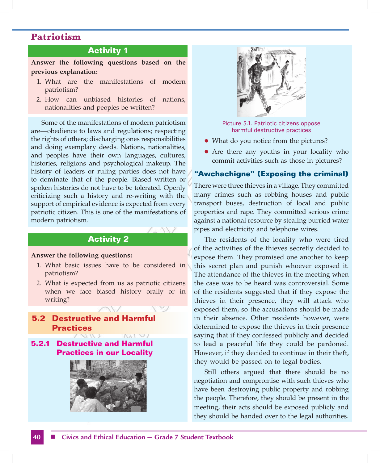## **Activity 1**

**Answer the following questions based on the previous explanation:**

- 1. What are the manifestations of modern patriotism?
- 2. How can unbiased histories of nations, nationalities and peoples be written?

Some of the manifestations of modern patriotism are—obedience to laws and regulations; respecting the rights of others; discharging ones responsibilities and doing exemplary deeds. Nations, nationalities, and peoples have their own languages, cultures, histories, religions and psychological makeup. The history of leaders or ruling parties does not have to dominate that of the people. Biased written or spoken histories do not have to be tolerated. Openly criticizing such a history and re-writing with the support of empirical evidence is expected from every patriotic citizen. This is one of the manifestations of modern patriotism.

### **Activity 2**

#### **Answer the following questions:**

- 1. What basic issues have to be considered in patriotism?
- 2. What is expected from us as patriotic citizens when we face biased history orally or in writing?

# **5.2 Destructive and Harmful Practices**

**5.2.1 Destructive and Harmful Practices in our Locality**





Picture 5.1. Patriotic citizens oppose harmful destructive practices

- What do you notice from the pictures?
- Are there any youths in your locality who commit activities such as those in pictures?

### **"Awchachigne" (Exposing the criminal)**

There were three thieves in a village. They committed many crimes such as robbing houses and public transport buses, destruction of local and public properties and rape. They committed serious crime against a national resource by stealing burried water pipes and electricity and telephone wires.

The residents of the locality who were tired of the activities of the thieves secretly decided to expose them. They promised one another to keep this secret plan and punish whoever exposed it. The attendance of the thieves in the meeting when the case was to be heard was controversial. Some of the residents suggested that if they expose the thieves in their presence, they will attack who exposed them, so the accusations should be made in their absence. Other residents however, were determined to expose the thieves in their presence saying that if they confessed publicly and decided to lead a peaceful life they could be pardoned. However, if they decided to continue in their theft, they would be passed on to legal bodies.

Still others argued that there should be no negotiation and compromise with such thieves who have been destroying public property and robbing the people. Therefore, they should be present in the meeting, their acts should be exposed publicly and they should be handed over to the legal authorities.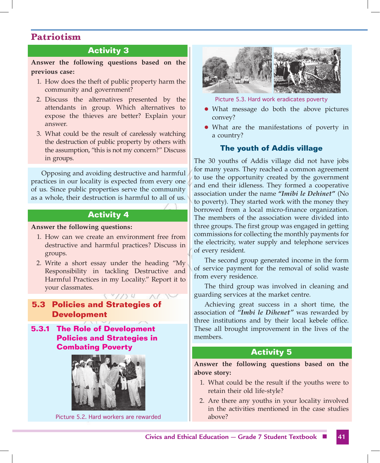## **Activity 3**

**Answer the following questions based on the previous case:**

- 1. How does the theft of public property harm the community and government?
- 2. Discuss the alternatives presented by the attendants in group. Which alternatives to expose the thieves are better? Explain your answer.
- 3. What could be the result of carelessly watching the destruction of public property by others with the assumption, "this is not my concern?" Discuss in groups.

Opposing and avoiding destructive and harmful practices in our locality is expected from every one of us. Since public properties serve the community as a whole, their destruction is harmful to all of us.

### **Activity 4**

#### **Answer the following questions:**

- 1. How can we create an environment free from destructive and harmful practices? Discuss in groups.
- 2. Write a short essay under the heading "My Responsibility in tackling Destructive and Harmful Practices in my Locality." Report it to your classmates.

# **5.3 Policies and Strategies of Development**

**5.3.1 The Role of Development Policies and Strategies in Combating Poverty**



Picture 5.2. Hard workers are rewarded



Picture 5.3. Hard work eradicates poverty

- What message do both the above pictures convey?
- What are the manifestations of poverty in a country?

### **The youth of Addis village**

The 30 youths of Addis village did not have jobs for many years. They reached a common agreement to use the opportunity created by the government and end their idleness. They formed a cooperative association under the name **"***Imibi le Dehinet***"** (No to poverty). They started work with the money they borrowed from a local micro-finance organization. The members of the association were divided into three groups. The first group was engaged in getting commissions for collecting the monthly payments for the electricity, water supply and telephone services of every resident.

The second group generated income in the form of service payment for the removal of solid waste from every residence.

The third group was involved in cleaning and guarding services at the market centre.

Achieving great success in a short time, the association of *"Imbi le Dihenet"* was rewarded by three institutions and by their local kebele office. These all brought improvement in the lives of the members.

### **Activity 5**

**Answer the following questions based on the above story:**

- 1. What could be the result if the youths were to retain their old life-style?
- 2. Are there any youths in your locality involved in the activities mentioned in the case studies above?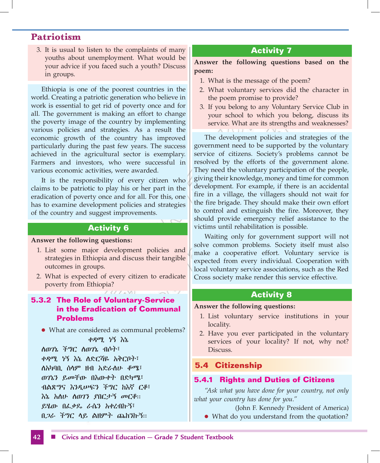3. It is usual to listen to the complaints of many youths about unemployment. What would be your advice if you faced such a youth? Discuss in groups.

Ethiopia is one of the poorest countries in the world. Creating a patriotic generation who believe in work is essential to get rid of poverty once and for all. The government is making an effort to change the poverty image of the country by implementing various policies and strategies. As a result the economic growth of the country has improved particularly during the past few years. The success achieved in the agricultural sector is exemplary. Farmers and investors, who were successful in various economic activities, were awarded.

It is the responsibility of every citizen who claims to be patriotic to play his or her part in the eradication of poverty once and for all. For this, one has to examine development policies and strategies of the country and suggest improvements.

# **Activity 6**

#### **Answer the following questions:**

- 1. List some major development policies and strategies in Ethiopia and discuss their tangible outcomes in groups.
- 2. What is expected of every citizen to eradicate poverty from Ethiopia?

# **5.3.2 The Role of Voluntary-Service in the Eradication of Communal Problems**

• What are considered as communal problems?

#### ቀዳሚ ነኝ እኔ

ለወገኔ ችግር ለወገኔ ብሶት፣ ቀዳሚ ነኝ እኔ ለድርሻዬ አቅርቦት፣ ለአካባቢ ሰላም ዘብ አድራለሁ ቆሜ፣ ወገኔን ይመቸው በእውቀት በድካሜ፣ ብልጽግና እንዲሠፍን ችግር ከእኛ ርቆ፣ እኔ አለሁ ለወገን ያበርታኝ መርቆ። ይሄው በፈቃዴ ራሴን አቀረብኩኝ፣ በጋራ ችግር ላይ ልዘምት ጨከንኩኝ።

# **Activity 7**

**Answer the following questions based on the poem:**

- 1. What is the message of the poem?
- 2. What voluntary services did the character in the poem promise to provide?
- 3. If you belong to any Voluntary Service Club in your school to which you belong, discuss its service. What are its strengths and weaknesses?

The development policies and strategies of the government need to be supported by the voluntary service of citizens. Society's problems cannot be resolved by the efforts of the government alone. They need the voluntary participation of the people, giving their knowledge, money and time for common development. For example, if there is an accidental fire in a village, the villagers should not wait for the fire brigade. They should make their own effort to control and extinguish the fire. Moreover, they should provide emergency relief assistance to the victims until rehabilitation is possible.

Waiting only for government support will not solve common problems. Society itself must also make a cooperative effort. Voluntary service is expected from every individual. Cooperation with local voluntary service associations, such as the Red Cross society make render this service effective.

#### **Activity 8**

#### **Answer the following questions:**

- 1. List voluntary service institutions in your locality.
- 2. Have you ever participated in the voluntary services of your locality? If not, why not? Discuss.

### **5.4 Citizenship**

#### **5.4.1 Rights and Duties of Citizens**

*"Ask what you have done for your country, not only what your country has done for you."*

(John F. Kennedy President of America) • What do you understand from the quotation?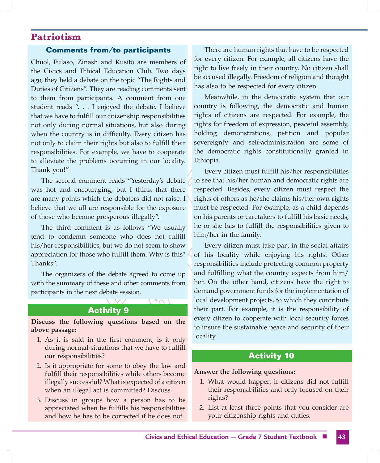#### **Comments from/to participants**

Chuol, Fulaso, Zinash and Kusito are members of the Civics and Ethical Education Club. Two days ago, they held a debate on the topic "The Rights and Duties of Citizens". They are reading comments sent to them from participants. A comment from one student reads ". . . I enjoyed the debate. I believe that we have to fulfill our citizenship responsibilities not only during normal situations, but also during when the country is in difficulty. Every citizen has not only to claim their rights but also to fulfill their responsibilities. For example, we have to cooperate to alleviate the problems occurring in our locality. Thank you!"

The second comment reads "Yesterday's debate was hot and encouraging, but I think that there are many points which the debaters did not raise. I believe that we all are responsible for the exposure of those who become prosperous illegally".

The third comment is as follows "We usually tend to condemn someone who does not fulfill his/her responsibilities, but we do not seem to show appreciation for those who fulfill them. Why is this? Thanks".

The organizers of the debate agreed to come up with the summary of these and other comments from participants in the next debate session.

### **Activity 9**

 $N \cap \mathbb{R}$ 

**Discuss the following questions based on the above passage:**

- 1. As it is said in the first comment, is it only during normal situations that we have to fulfill our responsibilities?
- 2. Is it appropriate for some to obey the law and fulfill their responsibilities while others become illegally successful? What is expected of a citizen when an illegal act is committed? Discuss.
- 3. Discuss in groups how a person has to be appreciated when he fulfills his responsibilities and how he has to be corrected if he does not.

There are human rights that have to be respected for every citizen. For example, all citizens have the right to live freely in their country. No citizen shall be accused illegally. Freedom of religion and thought has also to be respected for every citizen.

Meanwhile, in the democratic system that our country is following, the democratic and human rights of citizens are respected. For example, the rights for freedom of expression, peaceful assembly, holding demonstrations, petition and popular sovereignty and self-administration are some of the democratic rights constitutionally granted in Ethiopia.

Every citizen must fulfill his/her responsibilities to see that his/her human and democratic rights are respected. Besides, every citizen must respect the rights of others as he/she claims his/her own rights must be respected. For example, as a child depends on his parents or caretakers to fulfill his basic needs, he or she has to fulfill the responsibilities given to him/her in the family.

Every citizen must take part in the social affairs of his locality while enjoying his rights. Other responsibilities include protecting common property and fulfilling what the country expects from him/ her. On the other hand, citizens have the right to demand government funds for the implementation of local development projects, to which they contribute their part. For example, it is the responsibility of every citizen to cooperate with local security forces to insure the sustainable peace and security of their locality.

### **Activity 10**

#### **Answer the following questions:**

- 1. What would happen if citizens did not fulfill their responsibilities and only focused on their rights?
- 2. List at least three points that you consider are your citizenship rights and duties.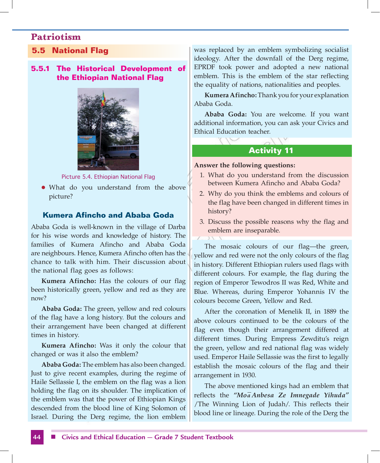# **5.5 National Flag**

### **5.5.1 The Historical Development of the Ethiopian National Flag**



Picture 5.4. Ethiopian National Flag

• What do you understand from the above picture?

## **Kumera Afincho and Ababa Goda**

Ababa Goda is well-known in the village of Darba for his wise words and knowledge of history. The families of Kumera Afincho and Ababa Goda are neighbours. Hence, Kumera Afincho often has the chance to talk with him. Their discussion about the national flag goes as follows:

**Kumera Afincho:** Has the colours of our flag been historically green, yellow and red as they are now?

**Ababa Goda:** The green, yellow and red colours of the flag have a long history. But the colours and their arrangement have been changed at different times in history.

**Kumera Afincho:** Was it only the colour that changed or was it also the emblem?

**Ababa Goda:** The emblem has also been changed. Just to give recent examples, during the regime of Haile Sellassie I, the emblem on the flag was a lion holding the flag on its shoulder. The implication of the emblem was that the power of Ethiopian Kings descended from the blood line of King Solomon of Israel. During the Derg regime, the lion emblem was replaced by an emblem symbolizing socialist ideology. After the downfall of the Derg regime, EPRDF took power and adopted a new national emblem. This is the emblem of the star reflecting the equality of nations, nationalities and peoples.

**Kumera Afincho:** Thank you for your explanation Ababa Goda.

**Ababa Goda:** You are welcome. If you want additional information, you can ask your Civics and Ethical Education teacher.

### **Activity 11**

### **Answer the following questions:**

- 1. What do you understand from the discussion between Kumera Afincho and Ababa Goda?
- 2. Why do you think the emblems and colours of the flag have been changed in different times in history?
- 3. Discuss the possible reasons why the flag and emblem are inseparable.

The mosaic colours of our flag—the green, yellow and red were not the only colours of the flag in history. Different Ethiopian rulers used flags with different colours. For example, the flag during the region of Emperor Tewodros II was Red, White and Blue. Whereas, during Emperor Yohannis IV the colours become Green, Yellow and Red.

After the coronation of Menelik II, in 1889 the above colours continued to be the colours of the flag even though their arrangement differed at different times. During Empress Zewditu's reign the green, yellow and red national flag was widely used. Emperor Haile Sellassie was the first to legally establish the mosaic colours of the flag and their arrangement in 1930.

The above mentioned kings had an emblem that reflects the *"Moa Anbesa Ze Imnegade Yihuda"* /The Winning Lion of Judah/. This reflects their blood line or lineage. During the role of the Derg the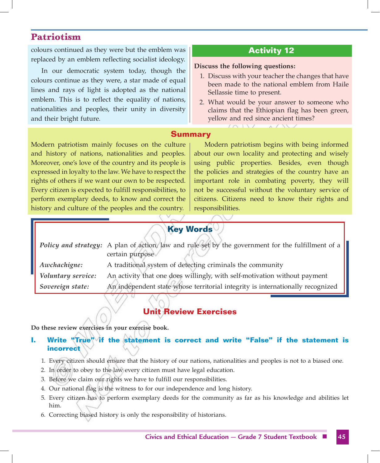colours continued as they were but the emblem was replaced by an emblem reflecting socialist ideology.

In our democratic system today, though the colours continue as they were, a star made of equal lines and rays of light is adopted as the national emblem. This is to reflect the equality of nations, nationalities and peoples, their unity in diversity and their bright future.

# **Activity 12**

#### **Discuss the following questions:**

- 1. Discuss with your teacher the changes that have been made to the national emblem from Haile Sellassie time to present.
- 2. What would be your answer to someone who claims that the Ethiopian flag has been green, yellow and red since ancient times?

## **Summary**

Modern patriotism mainly focuses on the culture and history of nations, nationalities and peoples. Moreover, one's love of the country and its people is expressed in loyalty to the law. We have to respect the rights of others if we want our own to be respected. Every citizen is expected to fulfill responsibilities, to perform exemplary deeds, to know and correct the history and culture of the peoples and the country.

Modern patriotism begins with being informed about our own locality and protecting and wisely using public properties. Besides, even though the policies and strategies of the country have an important role in combating poverty, they will not be successful without the voluntary service of citizens. Citizens need to know their rights and responsibilities.

# **Key Words**

|                    | Policy and strategy: A plan of action, law and rule set by the government for the fulfillment of a<br>certain purpose |
|--------------------|-----------------------------------------------------------------------------------------------------------------------|
| Awchachigne:       | A traditional system of detecting criminals the community                                                             |
| Voluntary service: | An activity that one does willingly, with self-motivation without payment                                             |
| Sovereign state:   | An independent state whose territorial integrity is internationally recognized                                        |

# **Unit Review Exercises**

**Do these review exercises in your exercise book.**

### **I. Write "True" if the statement is correct and write "False" if the statement is incorrect**

- 1. Every citizen should ensure that the history of our nations, nationalities and peoples is not to a biased one.
- 2. In order to obey to the law every citizen must have legal education.
- 3. Before we claim our rights we have to fulfill our responsibilities.
- 4. Our national flag is the witness to for our independence and long history.
- 5. Every citizen has to perform exemplary deeds for the community as far as his knowledge and abilities let him.
- 6. Correcting biased history is only the responsibility of historians.